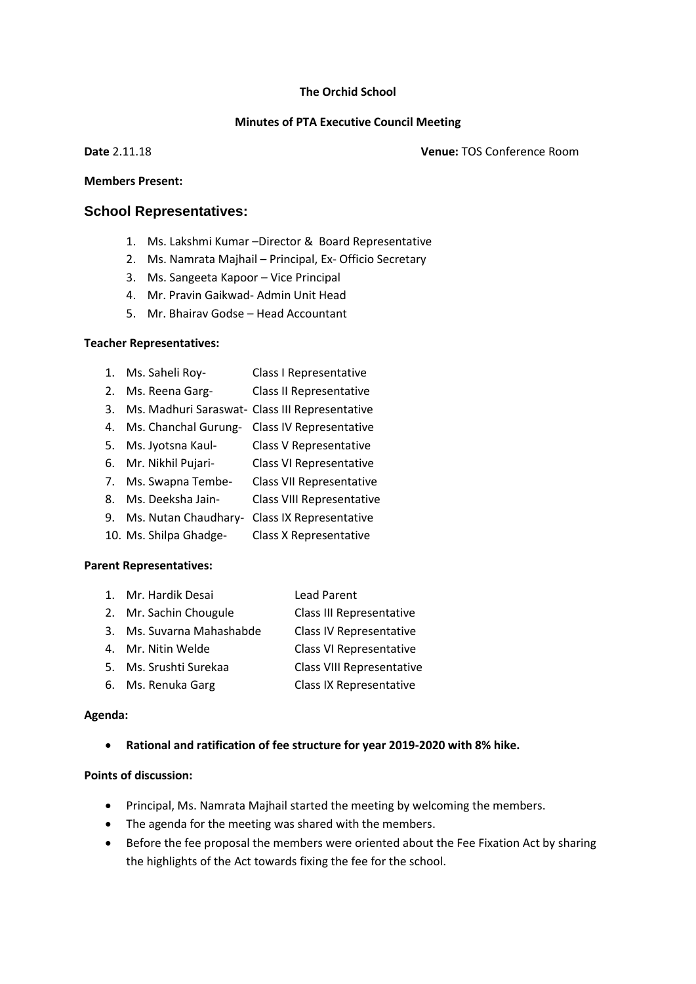#### **The Orchid School**

### **Minutes of PTA Executive Council Meeting**

**Date** 2.11.18 **Venue:** TOS Conference Room

#### **Members Present:**

### **School Representatives:**

- 1. Ms. Lakshmi Kumar –Director & Board Representative
- 2. Ms. Namrata Majhail Principal, Ex- Officio Secretary
- 3. Ms. Sangeeta Kapoor Vice Principal
- 4. Mr. Pravin Gaikwad- Admin Unit Head
- 5. Mr. Bhairav Godse Head Accountant

### **Teacher Representatives:**

- 1. Ms. Saheli Roy- Class I Representative
- 2. Ms. Reena Garg- Class II Representative
- 3. Ms. Madhuri Saraswat- Class III Representative
- 4. Ms. Chanchal Gurung- Class IV Representative
- 5. Ms. Jyotsna Kaul- Class V Representative
- 6. Mr. Nikhil Pujari- Class VI Representative
- 7. Ms. Swapna Tembe- Class VII Representative
- 8. Ms. Deeksha Jain- Class VIII Representative
- 9. Ms. Nutan Chaudhary- Class IX Representative
- 10. Ms. Shilpa Ghadge- Class X Representative

### **Parent Representatives:**

- 1. Mr. Hardik Desai Lead Parent 2. Mr. Sachin Chougule Class III Representative 3. Ms. Suvarna Mahashabde Class IV Representative
- 4. Mr. Nitin Welde Class VI Representative
- 5. Ms. Srushti Surekaa Class VIII Representative
- 6. Ms. Renuka Garg Class IX Representative

### **Agenda:**

• **Rational and ratification of fee structure for year 2019-2020 with 8% hike.**

### **Points of discussion:**

- Principal, Ms. Namrata Majhail started the meeting by welcoming the members.
- The agenda for the meeting was shared with the members.
- Before the fee proposal the members were oriented about the Fee Fixation Act by sharing the highlights of the Act towards fixing the fee for the school.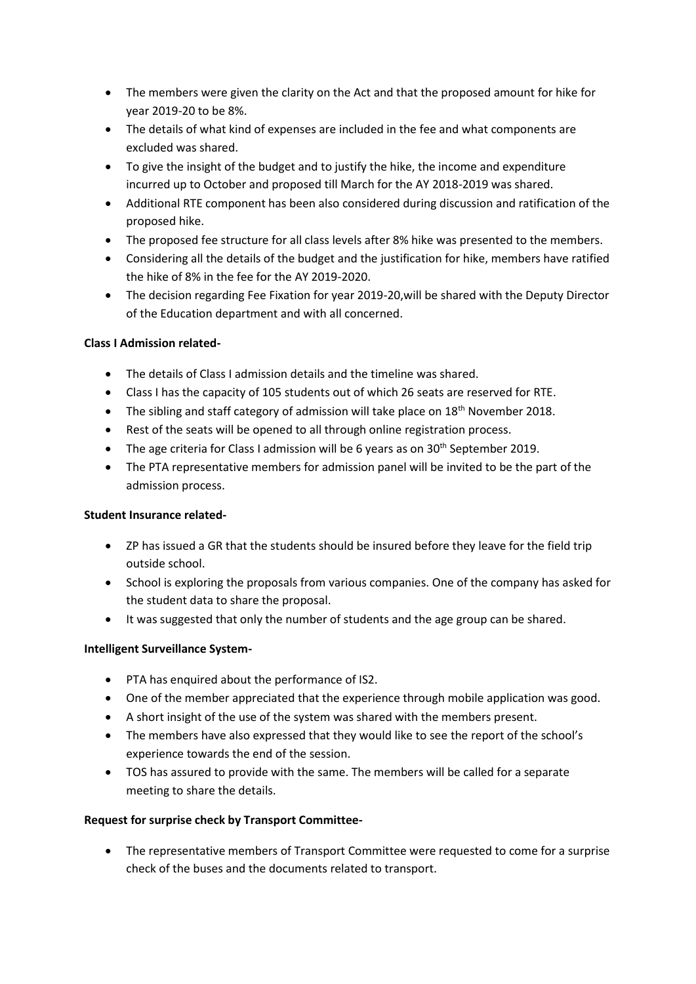- The members were given the clarity on the Act and that the proposed amount for hike for year 2019-20 to be 8%.
- The details of what kind of expenses are included in the fee and what components are excluded was shared.
- To give the insight of the budget and to justify the hike, the income and expenditure incurred up to October and proposed till March for the AY 2018-2019 was shared.
- Additional RTE component has been also considered during discussion and ratification of the proposed hike.
- The proposed fee structure for all class levels after 8% hike was presented to the members.
- Considering all the details of the budget and the justification for hike, members have ratified the hike of 8% in the fee for the AY 2019-2020.
- The decision regarding Fee Fixation for year 2019-20,will be shared with the Deputy Director of the Education department and with all concerned.

# **Class I Admission related-**

- The details of Class I admission details and the timeline was shared.
- Class I has the capacity of 105 students out of which 26 seats are reserved for RTE.
- The sibling and staff category of admission will take place on  $18<sup>th</sup>$  November 2018.
- Rest of the seats will be opened to all through online registration process.
- The age criteria for Class I admission will be 6 years as on  $30<sup>th</sup>$  September 2019.
- The PTA representative members for admission panel will be invited to be the part of the admission process.

# **Student Insurance related-**

- ZP has issued a GR that the students should be insured before they leave for the field trip outside school.
- School is exploring the proposals from various companies. One of the company has asked for the student data to share the proposal.
- It was suggested that only the number of students and the age group can be shared.

# **Intelligent Surveillance System-**

- PTA has enquired about the performance of IS2.
- One of the member appreciated that the experience through mobile application was good.
- A short insight of the use of the system was shared with the members present.
- The members have also expressed that they would like to see the report of the school's experience towards the end of the session.
- TOS has assured to provide with the same. The members will be called for a separate meeting to share the details.

# **Request for surprise check by Transport Committee-**

• The representative members of Transport Committee were requested to come for a surprise check of the buses and the documents related to transport.